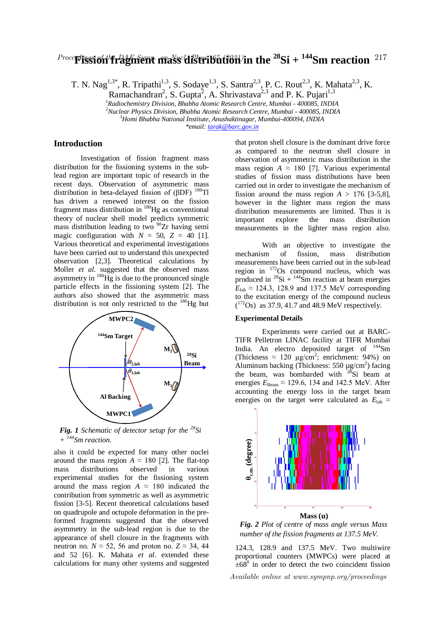# $^{Proceed}$   $^{Proce}$  Fission the DAE Sympth mass distribution  $^{217}$

T. N. Nag<sup>1,3\*</sup>, R. Tripathi<sup>1,3</sup>, S. Sodaye<sup>1,3</sup>, S. Santra<sup>2,3</sup>, P. C. Rout<sup>2,3</sup>, K. Mahata<sup>2,3</sup>, K.

Ramachandran<sup>2</sup>, S. Gupta<sup>2</sup>, A. Shrivastava<sup>2,3</sup> and P. K. Pujari<sup>1,3</sup>

*<sup>1</sup>Radiochemistry Division, Bhabha Atomic Research Centre, Mumbai - 400085, INDIA <sup>2</sup>Nuclear Physics Division, Bhabha Atomic Research Centre, Mumbai - 400085, INDIA <sup>3</sup>Homi Bhabha National Institute, Anushaktinagar, Mumbai-400094, INDIA*

*\*email: tarak@barc.gov.in*

# **Introduction**

Investigation of fission fragment mass distribution for the fissioning systems in the sublead region are important topic of research in the recent days. Observation of asymmetric mass distribution in beta-delayed fission of  $(BDF)$ <sup>180</sup>Tl has driven a renewed interest on the fission fragment mass distribution in <sup>180</sup>Hg as conventional theory of nuclear shell model predicts symmetric mass distribution leading to two <sup>90</sup>Zr having semi magic configuration with  $N = 50$ ,  $Z = 40$  [1]. Various theoretical and experimental investigations have been carried out to understand this unexpected observation [2,3]. Theoretical calculations by Moller *et al*. suggested that the observed mass asymmetry in  $^{180}$ Hg is due to the pronounced single particle effects in the fissioning system [2]. The authors also showed that the asymmetric mass distribution is not only restricted to the  $180$ Hg but



*Fig. 1 Schematic of detector setup for the <sup>28</sup>Si + <sup>144</sup>Sm reaction.*

also it could be expected for many other nuclei around the mass region  $A \approx 180$  [2]. The flat-top mass distributions observed in various experimental studies for the fissioning system around the mass region  $A \approx 180$  indicated the contribution from symmetric as well as asymmetric fission [3-5]. Recent theoretical calculations based on quadrupole and octupole deformation in the preformed fragments suggested that the observed asymmetry in the sub-lead region is due to the appearance of shell closure in the fragments with neutron no.  $N \approx 52$ , 56 and proton no.  $Z \approx 34$ , 44 and 52 [6]. K. Mahata *et al*. extended these calculations for many other systems and suggested

that proton shell closure is the dominant drive force as compared to the neutron shell closure in observation of asymmetric mass distribution in the mass region  $A \approx 180$  [7]. Various experimental studies of fission mass distributions have been carried out in order to investigate the mechanism of fission around the mass region  $A > 176$  [3-5,8], however in the lighter mass region the mass distribution measurements are limited. Thus it is important explore the mass distribution measurements in the lighter mass region also.

With an objective to investigate the mechanism of fission, mass distribution measurements have been carried out in the sub-lead region in  $172$ Os compound nucleus, which was produced in  $^{28}$ Si +  $^{144}$ Sm reaction at beam energies  $E_{\text{lab}} \approx 124.3$ , 128.9 and 137.5 MeV corresponding to the excitation energy of the compound nucleus  $(^{172}Os)$  as 37.9, 41.7 and 48.9 MeV respectively.

## **Experimental Details**

Experiments were carried out at BARC-TIFR Pelletron LINAC facility at TIFR Mumbai India. An electro deposited target of <sup>144</sup>Sm (Thickness  $\approx 120 \text{ µg/cm}^2$ ; enrichment: 94%) on Aluminum backing (Thickness:  $550 \mu g/cm^2$ ) facing the beam, was bombarded with  $^{28}$ Si beam at energies  $E_{\text{Beam}} \approx 129.6$ , 134 and 142.5 MeV. After accounting the energy loss in the target beam energies on the target were calculated as  $E_{\text{lab}} \approx$ 



*Fig. 2 Plot of centre of mass angle versus Mass number of the fission fragments at 137.5 MeV.* 

124.3, 128.9 and 137.5 MeV. Two multiwire proportional counters (MWPCs) were placed at  $\pm 68^\circ$  in order to detect the two coincident fission

Available online at www.sympnp.org/proceedings